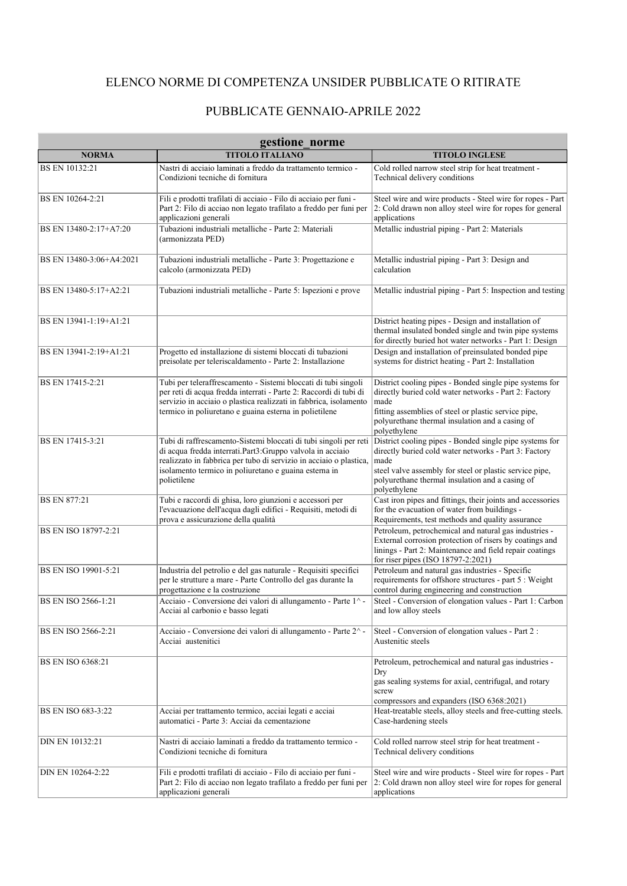## ELENCO NORME DI COMPETENZA UNSIDER PUBBLICATE O RITIRATE

## PUBBLICATE GENNAIO-APRILE 2022

| gestione norme             |                                                                                                                                                                                                                                                                             |                                                                                                                                                                                                                                                        |  |
|----------------------------|-----------------------------------------------------------------------------------------------------------------------------------------------------------------------------------------------------------------------------------------------------------------------------|--------------------------------------------------------------------------------------------------------------------------------------------------------------------------------------------------------------------------------------------------------|--|
| <b>NORMA</b>               | <b>TITOLO ITALIANO</b>                                                                                                                                                                                                                                                      | <b>TITOLO INGLESE</b>                                                                                                                                                                                                                                  |  |
| BS EN 10132:21             | Nastri di acciaio laminati a freddo da trattamento termico -<br>Condizioni tecniche di fornitura                                                                                                                                                                            | Cold rolled narrow steel strip for heat treatment -<br>Technical delivery conditions                                                                                                                                                                   |  |
| BS EN 10264-2:21           | Fili e prodotti trafilati di acciaio - Filo di acciaio per funi -<br>Part 2: Filo di acciao non legato trafilato a freddo per funi per<br>applicazioni generali                                                                                                             | Steel wire and wire products - Steel wire for ropes - Part<br>2: Cold drawn non alloy steel wire for ropes for general<br>applications                                                                                                                 |  |
| BS EN 13480-2:17+A7:20     | Tubazioni industriali metalliche - Parte 2: Materiali<br>(armonizzata PED)                                                                                                                                                                                                  | Metallic industrial piping - Part 2: Materials                                                                                                                                                                                                         |  |
| BS EN 13480-3:06+A4:2021   | Tubazioni industriali metalliche - Parte 3: Progettazione e<br>calcolo (armonizzata PED)                                                                                                                                                                                    | Metallic industrial piping - Part 3: Design and<br>calculation                                                                                                                                                                                         |  |
| BS EN 13480-5:17+A2:21     | Tubazioni industriali metalliche - Parte 5: Ispezioni e prove                                                                                                                                                                                                               | Metallic industrial piping - Part 5: Inspection and testing                                                                                                                                                                                            |  |
| BS EN 13941-1:19+A1:21     |                                                                                                                                                                                                                                                                             | District heating pipes - Design and installation of<br>thermal insulated bonded single and twin pipe systems<br>for directly buried hot water networks - Part 1: Design                                                                                |  |
| BS EN 13941-2:19+A1:21     | Progetto ed installazione di sistemi bloccati di tubazioni<br>preisolate per teleriscaldamento - Parte 2: Installazione                                                                                                                                                     | Design and installation of preinsulated bonded pipe<br>systems for district heating - Part 2: Installation                                                                                                                                             |  |
| BS EN 17415-2:21           | Tubi per teleraffrescamento - Sistemi bloccati di tubi singoli<br>per reti di acqua fredda interrati - Parte 2: Raccordi di tubi di<br>servizio in acciaio o plastica realizzati in fabbrica, isolamento<br>termico in poliuretano e guaina esterna in polietilene          | District cooling pipes - Bonded single pipe systems for<br>directly buried cold water networks - Part 2: Factory<br>made<br>fitting assemblies of steel or plastic service pipe,<br>polyurethane thermal insulation and a casing of<br>polyethylene    |  |
| BS EN 17415-3:21           | Tubi di raffrescamento-Sistemi bloccati di tubi singoli per reti<br>di acqua fredda interrati.Part3:Gruppo valvola in acciaio<br>realizzato in fabbrica per tubo di servizio in acciaio o plastica,<br>isolamento termico in poliuretano e guaina esterna in<br>polietilene | District cooling pipes - Bonded single pipe systems for<br>directly buried cold water networks - Part 3: Factory<br>made<br>steel valve assembly for steel or plastic service pipe,<br>polyurethane thermal insulation and a casing of<br>polyethylene |  |
| <b>BS EN 877:21</b>        | Tubi e raccordi di ghisa, loro giunzioni e accessori per<br>l'evacuazione dell'acqua dagli edifici - Requisiti, metodi di<br>prova e assicurazione della qualità                                                                                                            | Cast iron pipes and fittings, their joints and accessories<br>for the evacuation of water from buildings -<br>Requirements, test methods and quality assurance                                                                                         |  |
| BS EN ISO 18797-2:21       |                                                                                                                                                                                                                                                                             | Petroleum, petrochemical and natural gas industries -<br>External corrosion protection of risers by coatings and<br>linings - Part 2: Maintenance and field repair coatings<br>for riser pipes (ISO 18797-2:2021)                                      |  |
| BS EN ISO 19901-5:21       | Industria del petrolio e del gas naturale - Requisiti specifici<br>per le strutture a mare - Parte Controllo del gas durante la<br>progettazione e la costruzione                                                                                                           | Petroleum and natural gas industries - Specific<br>requirements for offshore structures - part 5 : Weight<br>control during engineering and construction                                                                                               |  |
| <b>BS EN ISO 2566-1:21</b> | Acciaio - Conversione dei valori di allungamento - Parte 1^ -<br>Acciai al carbonio e basso legati                                                                                                                                                                          | Steel - Conversion of elongation values - Part 1: Carbon<br>and low alloy steels                                                                                                                                                                       |  |
| BS EN ISO 2566-2:21        | Acciaio - Conversione dei valori di allungamento - Parte 2^-<br>Acciai austenitici                                                                                                                                                                                          | Steel - Conversion of elongation values - Part 2 :<br>Austenitic steels                                                                                                                                                                                |  |
| <b>BS EN ISO 6368:21</b>   |                                                                                                                                                                                                                                                                             | Petroleum, petrochemical and natural gas industries -<br>Dry<br>gas sealing systems for axial, centrifugal, and rotary<br>screw<br>compressors and expanders (ISO 6368:2021)                                                                           |  |
| BS EN ISO 683-3:22         | Acciai per trattamento termico, acciai legati e acciai<br>automatici - Parte 3: Acciai da cementazione                                                                                                                                                                      | Heat-treatable steels, alloy steels and free-cutting steels.<br>Case-hardening steels                                                                                                                                                                  |  |
| DIN EN 10132:21            | Nastri di acciaio laminati a freddo da trattamento termico -<br>Condizioni tecniche di fornitura                                                                                                                                                                            | Cold rolled narrow steel strip for heat treatment -<br>Technical delivery conditions                                                                                                                                                                   |  |
| DIN EN 10264-2:22          | Fili e prodotti trafilati di acciaio - Filo di acciaio per funi -<br>Part 2: Filo di acciao non legato trafilato a freddo per funi per<br>applicazioni generali                                                                                                             | Steel wire and wire products - Steel wire for ropes - Part<br>2: Cold drawn non alloy steel wire for ropes for general<br>applications                                                                                                                 |  |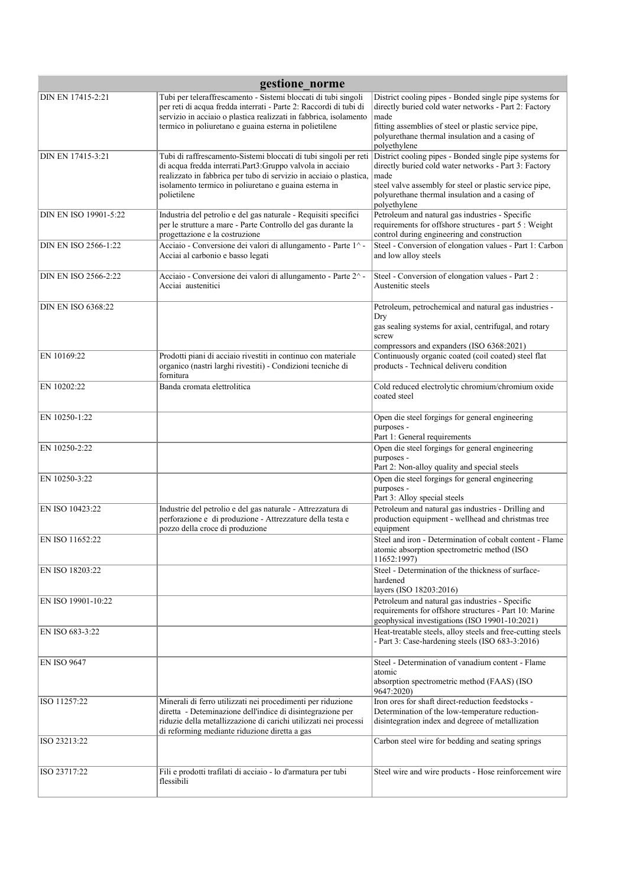| gestione norme              |                                                                                                                                                                                                                                                                             |                                                                                                                                                                                                                                                        |  |
|-----------------------------|-----------------------------------------------------------------------------------------------------------------------------------------------------------------------------------------------------------------------------------------------------------------------------|--------------------------------------------------------------------------------------------------------------------------------------------------------------------------------------------------------------------------------------------------------|--|
| DIN EN 17415-2:21           | Tubi per teleraffrescamento - Sistemi bloccati di tubi singoli<br>per reti di acqua fredda interrati - Parte 2: Raccordi di tubi di<br>servizio in acciaio o plastica realizzati in fabbrica, isolamento<br>termico in poliuretano e guaina esterna in polietilene          | District cooling pipes - Bonded single pipe systems for<br>directly buried cold water networks - Part 2: Factory<br>made<br>fitting assemblies of steel or plastic service pipe,<br>polyurethane thermal insulation and a casing of<br>polyethylene    |  |
| DIN EN 17415-3:21           | Tubi di raffrescamento-Sistemi bloccati di tubi singoli per reti<br>di acqua fredda interrati.Part3:Gruppo valvola in acciaio<br>realizzato in fabbrica per tubo di servizio in acciaio o plastica,<br>isolamento termico in poliuretano e guaina esterna in<br>polietilene | District cooling pipes - Bonded single pipe systems for<br>directly buried cold water networks - Part 3: Factory<br>made<br>steel valve assembly for steel or plastic service pipe,<br>polyurethane thermal insulation and a casing of<br>polyethylene |  |
| DIN EN ISO 19901-5:22       | Industria del petrolio e del gas naturale - Requisiti specifici<br>per le strutture a mare - Parte Controllo del gas durante la<br>progettazione e la costruzione                                                                                                           | Petroleum and natural gas industries - Specific<br>requirements for offshore structures - part 5 : Weight<br>control during engineering and construction                                                                                               |  |
| DIN EN ISO 2566-1:22        | Acciaio - Conversione dei valori di allungamento - Parte 1^ -<br>Acciai al carbonio e basso legati                                                                                                                                                                          | Steel - Conversion of elongation values - Part 1: Carbon<br>and low alloy steels                                                                                                                                                                       |  |
| <b>DIN EN ISO 2566-2:22</b> | Acciaio - Conversione dei valori di allungamento - Parte 2^-<br>Acciai austenitici                                                                                                                                                                                          | Steel - Conversion of elongation values - Part 2 :<br>Austenitic steels                                                                                                                                                                                |  |
| <b>DIN EN ISO 6368:22</b>   |                                                                                                                                                                                                                                                                             | Petroleum, petrochemical and natural gas industries -<br>Dry<br>gas sealing systems for axial, centrifugal, and rotary<br>screw<br>compressors and expanders (ISO 6368:2021)                                                                           |  |
| EN 10169:22                 | Prodotti piani di acciaio rivestiti in continuo con materiale<br>organico (nastri larghi rivestiti) - Condizioni tecniche di<br>fornitura                                                                                                                                   | Continuously organic coated (coil coated) steel flat<br>products - Technical deliveru condition                                                                                                                                                        |  |
| EN 10202:22                 | Banda cromata elettrolitica                                                                                                                                                                                                                                                 | Cold reduced electrolytic chromium/chromium oxide<br>coated steel                                                                                                                                                                                      |  |
| EN 10250-1:22               |                                                                                                                                                                                                                                                                             | Open die steel forgings for general engineering<br>purposes -<br>Part 1: General requirements                                                                                                                                                          |  |
| EN 10250-2:22               |                                                                                                                                                                                                                                                                             | Open die steel forgings for general engineering<br>purposes -<br>Part 2: Non-alloy quality and special steels                                                                                                                                          |  |
| EN 10250-3:22               |                                                                                                                                                                                                                                                                             | Open die steel forgings for general engineering<br>purposes -<br>Part 3: Alloy special steels                                                                                                                                                          |  |
| EN ISO 10423:22             | Industrie del petrolio e del gas naturale - Attrezzatura di<br>perforazione e di produzione - Attrezzature della testa e<br>pozzo della croce di produzione                                                                                                                 | Petroleum and natural gas industries - Drilling and<br>production equipment - wellhead and christmas tree<br>equipment                                                                                                                                 |  |
| EN ISO 11652:22             |                                                                                                                                                                                                                                                                             | Steel and iron - Determination of cobalt content - Flame<br>atomic absorption spectrometric method (ISO<br>11652:1997)                                                                                                                                 |  |
| EN ISO 18203:22             |                                                                                                                                                                                                                                                                             | Steel - Determination of the thickness of surface-<br>hardened<br>layers (ISO 18203:2016)                                                                                                                                                              |  |
| EN ISO 19901-10:22          |                                                                                                                                                                                                                                                                             | Petroleum and natural gas industries - Specific<br>requirements for offshore structures - Part 10: Marine<br>geophysical investigations (ISO 19901-10:2021)                                                                                            |  |
| EN ISO 683-3:22             |                                                                                                                                                                                                                                                                             | Heat-treatable steels, alloy steels and free-cutting steels<br>- Part 3: Case-hardening steels (ISO 683-3:2016)                                                                                                                                        |  |
| EN ISO 9647                 |                                                                                                                                                                                                                                                                             | Steel - Determination of vanadium content - Flame<br>atomic<br>absorption spectrometric method (FAAS) (ISO<br>9647:2020)                                                                                                                               |  |
| ISO 11257:22                | Minerali di ferro utilizzati nei procedimenti per riduzione<br>diretta - Deteminazione dell'indice di disintegrazione per<br>riduzie della metallizzazione di carichi utilizzati nei processi<br>di reforming mediante riduzione diretta a gas                              | Iron ores for shaft direct-reduction feedstocks -<br>Determination of the low-temperature reduction-<br>disintegration index and degreee of metallization                                                                                              |  |
| ISO 23213:22                |                                                                                                                                                                                                                                                                             | Carbon steel wire for bedding and seating springs                                                                                                                                                                                                      |  |
| ISO 23717:22                | Fili e prodotti trafilati di acciaio - lo d'armatura per tubi<br>flessibili                                                                                                                                                                                                 | Steel wire and wire products - Hose reinforcement wire                                                                                                                                                                                                 |  |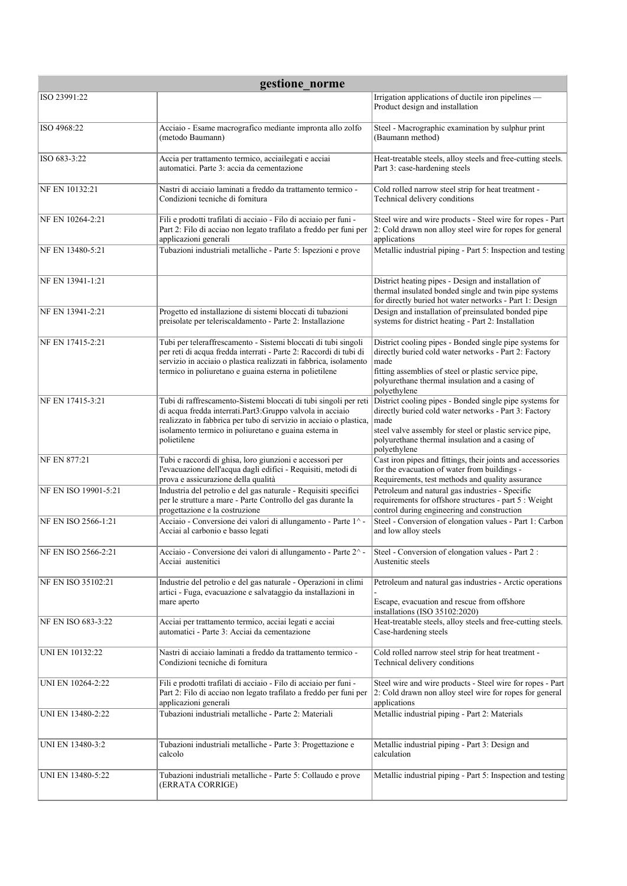| gestione norme       |                                                                                                                                                                                                                                                                             |                                                                                                                                                                                                                                                        |  |
|----------------------|-----------------------------------------------------------------------------------------------------------------------------------------------------------------------------------------------------------------------------------------------------------------------------|--------------------------------------------------------------------------------------------------------------------------------------------------------------------------------------------------------------------------------------------------------|--|
| ISO 23991:22         |                                                                                                                                                                                                                                                                             | Irrigation applications of ductile iron pipelines -<br>Product design and installation                                                                                                                                                                 |  |
| ISO 4968:22          | Acciaio - Esame macrografico mediante impronta allo zolfo<br>(metodo Baumann)                                                                                                                                                                                               | Steel - Macrographic examination by sulphur print<br>(Baumann method)                                                                                                                                                                                  |  |
| ISO 683-3:22         | Accia per trattamento termico, acciailegati e acciai<br>automatici. Parte 3: accia da cementazione                                                                                                                                                                          | Heat-treatable steels, alloy steels and free-cutting steels.<br>Part 3: case-hardening steels                                                                                                                                                          |  |
| NF EN 10132:21       | Nastri di acciaio laminati a freddo da trattamento termico -<br>Condizioni tecniche di fornitura                                                                                                                                                                            | Cold rolled narrow steel strip for heat treatment -<br>Technical delivery conditions                                                                                                                                                                   |  |
| NF EN 10264-2:21     | Fili e prodotti trafilati di acciaio - Filo di acciaio per funi -<br>Part 2: Filo di acciao non legato trafilato a freddo per funi per<br>applicazioni generali                                                                                                             | Steel wire and wire products - Steel wire for ropes - Part<br>2: Cold drawn non alloy steel wire for ropes for general<br>applications                                                                                                                 |  |
| NF EN 13480-5:21     | Tubazioni industriali metalliche - Parte 5: Ispezioni e prove                                                                                                                                                                                                               | Metallic industrial piping - Part 5: Inspection and testing                                                                                                                                                                                            |  |
| NF EN 13941-1:21     |                                                                                                                                                                                                                                                                             | District heating pipes - Design and installation of<br>thermal insulated bonded single and twin pipe systems<br>for directly buried hot water networks - Part 1: Design                                                                                |  |
| NF EN 13941-2:21     | Progetto ed installazione di sistemi bloccati di tubazioni<br>preisolate per teleriscaldamento - Parte 2: Installazione                                                                                                                                                     | Design and installation of preinsulated bonded pipe<br>systems for district heating - Part 2: Installation                                                                                                                                             |  |
| NF EN 17415-2:21     | Tubi per teleraffrescamento - Sistemi bloccati di tubi singoli<br>per reti di acqua fredda interrati - Parte 2: Raccordi di tubi di<br>servizio in acciaio o plastica realizzati in fabbrica, isolamento<br>termico in poliuretano e guaina esterna in polietilene          | District cooling pipes - Bonded single pipe systems for<br>directly buried cold water networks - Part 2: Factory<br>made<br>fitting assemblies of steel or plastic service pipe,<br>polyurethane thermal insulation and a casing of<br>polyethylene    |  |
| NF EN 17415-3:21     | Tubi di raffrescamento-Sistemi bloccati di tubi singoli per reti<br>di acqua fredda interrati.Part3:Gruppo valvola in acciaio<br>realizzato in fabbrica per tubo di servizio in acciaio o plastica,<br>isolamento termico in poliuretano e guaina esterna in<br>polietilene | District cooling pipes - Bonded single pipe systems for<br>directly buried cold water networks - Part 3: Factory<br>made<br>steel valve assembly for steel or plastic service pipe,<br>polyurethane thermal insulation and a casing of<br>polyethylene |  |
| <b>NF EN 877:21</b>  | Tubi e raccordi di ghisa, loro giunzioni e accessori per<br>l'evacuazione dell'acqua dagli edifici - Requisiti, metodi di<br>prova e assicurazione della qualità                                                                                                            | Cast iron pipes and fittings, their joints and accessories<br>for the evacuation of water from buildings -<br>Requirements, test methods and quality assurance                                                                                         |  |
| NF EN ISO 19901-5:21 | Industria del petrolio e del gas naturale - Requisiti specifici<br>per le strutture a mare - Parte Controllo del gas durante la<br>progettazione e la costruzione                                                                                                           | Petroleum and natural gas industries - Specific<br>requirements for offshore structures - part 5 : Weight<br>control during engineering and construction                                                                                               |  |
| NF EN ISO 2566-1:21  | Acciaio - Conversione dei valori di allungamento - Parte 1^ -<br>Acciai al carbonio e basso legati                                                                                                                                                                          | Steel - Conversion of elongation values - Part 1: Carbon<br>and low alloy steels                                                                                                                                                                       |  |
| NF EN ISO 2566-2:21  | Acciaio - Conversione dei valori di allungamento - Parte 2^-<br>Acciai austenitici                                                                                                                                                                                          | Steel - Conversion of elongation values - Part 2 :<br>Austenitic steels                                                                                                                                                                                |  |
| NF EN ISO 35102:21   | Industrie del petrolio e del gas naturale - Operazioni in climi<br>artici - Fuga, evacuazione e salvataggio da installazioni in<br>mare aperto                                                                                                                              | Petroleum and natural gas industries - Arctic operations<br>Escape, evacuation and rescue from offshore<br>installations (ISO 35102:2020)                                                                                                              |  |
| NF EN ISO 683-3:22   | Acciai per trattamento termico, acciai legati e acciai<br>automatici - Parte 3: Acciai da cementazione                                                                                                                                                                      | Heat-treatable steels, alloy steels and free-cutting steels.<br>Case-hardening steels                                                                                                                                                                  |  |
| UNI EN 10132:22      | Nastri di acciaio laminati a freddo da trattamento termico -<br>Condizioni tecniche di fornitura                                                                                                                                                                            | Cold rolled narrow steel strip for heat treatment -<br>Technical delivery conditions                                                                                                                                                                   |  |
| UNI EN 10264-2:22    | Fili e prodotti trafilati di acciaio - Filo di acciaio per funi -<br>Part 2: Filo di acciao non legato trafilato a freddo per funi per<br>applicazioni generali                                                                                                             | Steel wire and wire products - Steel wire for ropes - Part<br>2: Cold drawn non alloy steel wire for ropes for general<br>applications                                                                                                                 |  |
| UNI EN 13480-2:22    | Tubazioni industriali metalliche - Parte 2: Materiali                                                                                                                                                                                                                       | Metallic industrial piping - Part 2: Materials                                                                                                                                                                                                         |  |
| UNI EN 13480-3:2     | Tubazioni industriali metalliche - Parte 3: Progettazione e<br>calcolo                                                                                                                                                                                                      | Metallic industrial piping - Part 3: Design and<br>calculation                                                                                                                                                                                         |  |
| UNI EN 13480-5:22    | Tubazioni industriali metalliche - Parte 5: Collaudo e prove<br>(ERRATA CORRIGE)                                                                                                                                                                                            | Metallic industrial piping - Part 5: Inspection and testing                                                                                                                                                                                            |  |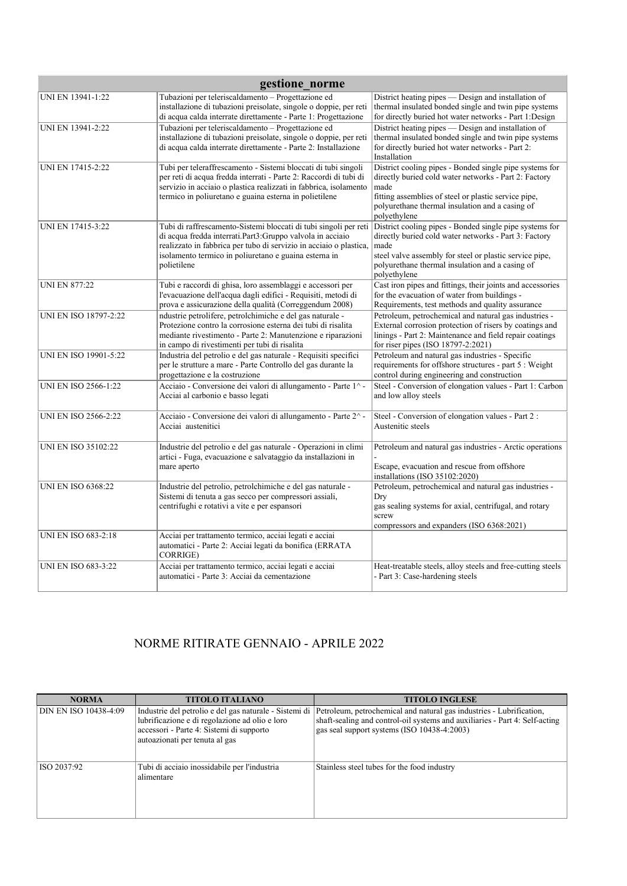| gestione norme               |                                                                                                                                                                                                                                                                             |                                                                                                                                                                                                                                                        |  |
|------------------------------|-----------------------------------------------------------------------------------------------------------------------------------------------------------------------------------------------------------------------------------------------------------------------------|--------------------------------------------------------------------------------------------------------------------------------------------------------------------------------------------------------------------------------------------------------|--|
| UNI EN 13941-1:22            | Tubazioni per teleriscaldamento - Progettazione ed<br>installazione di tubazioni preisolate, singole o doppie, per reti<br>di acqua calda interrate direttamente - Parte 1: Progettazione                                                                                   | District heating pipes — Design and installation of<br>thermal insulated bonded single and twin pipe systems<br>for directly buried hot water networks - Part 1:Design                                                                                 |  |
| UNI EN 13941-2:22            | Tubazioni per teleriscaldamento - Progettazione ed<br>installazione di tubazioni preisolate, singole o doppie, per reti<br>di acqua calda interrate direttamente - Parte 2: Installazione                                                                                   | District heating pipes — Design and installation of<br>thermal insulated bonded single and twin pipe systems<br>for directly buried hot water networks - Part 2:<br>Installation                                                                       |  |
| UNI EN 17415-2:22            | Tubi per teleraffrescamento - Sistemi bloccati di tubi singoli<br>per reti di acqua fredda interrati - Parte 2: Raccordi di tubi di<br>servizio in acciaio o plastica realizzati in fabbrica, isolamento<br>termico in poliuretano e guaina esterna in polietilene          | District cooling pipes - Bonded single pipe systems for<br>directly buried cold water networks - Part 2: Factory<br>made<br>fitting assemblies of steel or plastic service pipe,<br>polyurethane thermal insulation and a casing of<br>polyethylene    |  |
| UNI EN 17415-3:22            | Tubi di raffrescamento-Sistemi bloccati di tubi singoli per reti<br>di acqua fredda interrati.Part3:Gruppo valvola in acciaio<br>realizzato in fabbrica per tubo di servizio in acciaio o plastica,<br>isolamento termico in poliuretano e guaina esterna in<br>polietilene | District cooling pipes - Bonded single pipe systems for<br>directly buried cold water networks - Part 3: Factory<br>made<br>steel valve assembly for steel or plastic service pipe,<br>polyurethane thermal insulation and a casing of<br>polyethylene |  |
| <b>UNI EN 877:22</b>         | Tubi e raccordi di ghisa, loro assemblaggi e accessori per<br>l'evacuazione dell'acqua dagli edifici - Requisiti, metodi di<br>prova e assicurazione della qualità (Correggendum 2008)                                                                                      | Cast iron pipes and fittings, their joints and accessories<br>for the evacuation of water from buildings -<br>Requirements, test methods and quality assurance                                                                                         |  |
| <b>UNI EN ISO 18797-2:22</b> | ndustrie petrolifere, petrolchimiche e del gas naturale -<br>Protezione contro la corrosione esterna dei tubi di risalita<br>mediante rivestimento - Parte 2: Manutenzione e riparazioni<br>in campo di rivestimenti per tubi di risalita                                   | Petroleum, petrochemical and natural gas industries -<br>External corrosion protection of risers by coatings and<br>linings - Part 2: Maintenance and field repair coatings<br>for riser pipes (ISO 18797-2:2021)                                      |  |
| <b>UNI EN ISO 19901-5:22</b> | Industria del petrolio e del gas naturale - Requisiti specifici<br>per le strutture a mare - Parte Controllo del gas durante la<br>progettazione e la costruzione                                                                                                           | Petroleum and natural gas industries - Specific<br>requirements for offshore structures - part 5 : Weight<br>control during engineering and construction                                                                                               |  |
| UNI EN ISO 2566-1:22         | Acciaio - Conversione dei valori di allungamento - Parte 1^-<br>Acciai al carbonio e basso legati                                                                                                                                                                           | Steel - Conversion of elongation values - Part 1: Carbon<br>and low alloy steels                                                                                                                                                                       |  |
| <b>UNI EN ISO 2566-2:22</b>  | Acciaio - Conversione dei valori di allungamento - Parte 2^-<br>Acciai austenitici                                                                                                                                                                                          | Steel - Conversion of elongation values - Part 2 :<br>Austenitic steels                                                                                                                                                                                |  |
| <b>UNI EN ISO 35102:22</b>   | Industrie del petrolio e del gas naturale - Operazioni in climi<br>artici - Fuga, evacuazione e salvataggio da installazioni in<br>mare aperto                                                                                                                              | Petroleum and natural gas industries - Arctic operations<br>Escape, evacuation and rescue from offshore<br>installations (ISO 35102:2020)                                                                                                              |  |
| <b>UNI EN ISO 6368:22</b>    | Industrie del petrolio, petrolchimiche e del gas naturale -<br>Sistemi di tenuta a gas secco per compressori assiali,<br>centrifughi e rotativi a vite e per espansori                                                                                                      | Petroleum, petrochemical and natural gas industries -<br>Dry<br>gas sealing systems for axial, centrifugal, and rotary<br>screw<br>compressors and expanders (ISO 6368:2021)                                                                           |  |
| <b>UNI EN ISO 683-2:18</b>   | Acciai per trattamento termico, acciai legati e acciai<br>automatici - Parte 2: Acciai legati da bonifica (ERRATA<br>CORRIGE)                                                                                                                                               |                                                                                                                                                                                                                                                        |  |
| <b>UNI EN ISO 683-3:22</b>   | Acciai per trattamento termico, acciai legati e acciai<br>automatici - Parte 3: Acciai da cementazione                                                                                                                                                                      | Heat-treatable steels, alloy steels and free-cutting steels<br>- Part 3: Case-hardening steels                                                                                                                                                         |  |

## NORME RITIRATE GENNAIO - APRILE 2022

| <b>NORMA</b>          | <b>TITOLO ITALIANO</b>                                                                                                       | <b>TITOLO INGLESE</b>                                                                                                                                                                                                                                       |
|-----------------------|------------------------------------------------------------------------------------------------------------------------------|-------------------------------------------------------------------------------------------------------------------------------------------------------------------------------------------------------------------------------------------------------------|
| DIN EN ISO 10438-4:09 | lubrificazione e di regolazione ad olio e loro<br>accessori - Parte 4: Sistemi di supporto<br>autoazionati per tenuta al gas | Industrie del petrolio e del gas naturale - Sistemi di   Petroleum, petrochemical and natural gas industries - Lubrification,<br>shaft-sealing and control-oil systems and auxiliaries - Part 4: Self-acting<br>gas seal support systems (ISO 10438-4:2003) |
| ISO 2037:92           | Tubi di acciaio inossidabile per l'industria<br>alimentare                                                                   | Stainless steel tubes for the food industry                                                                                                                                                                                                                 |